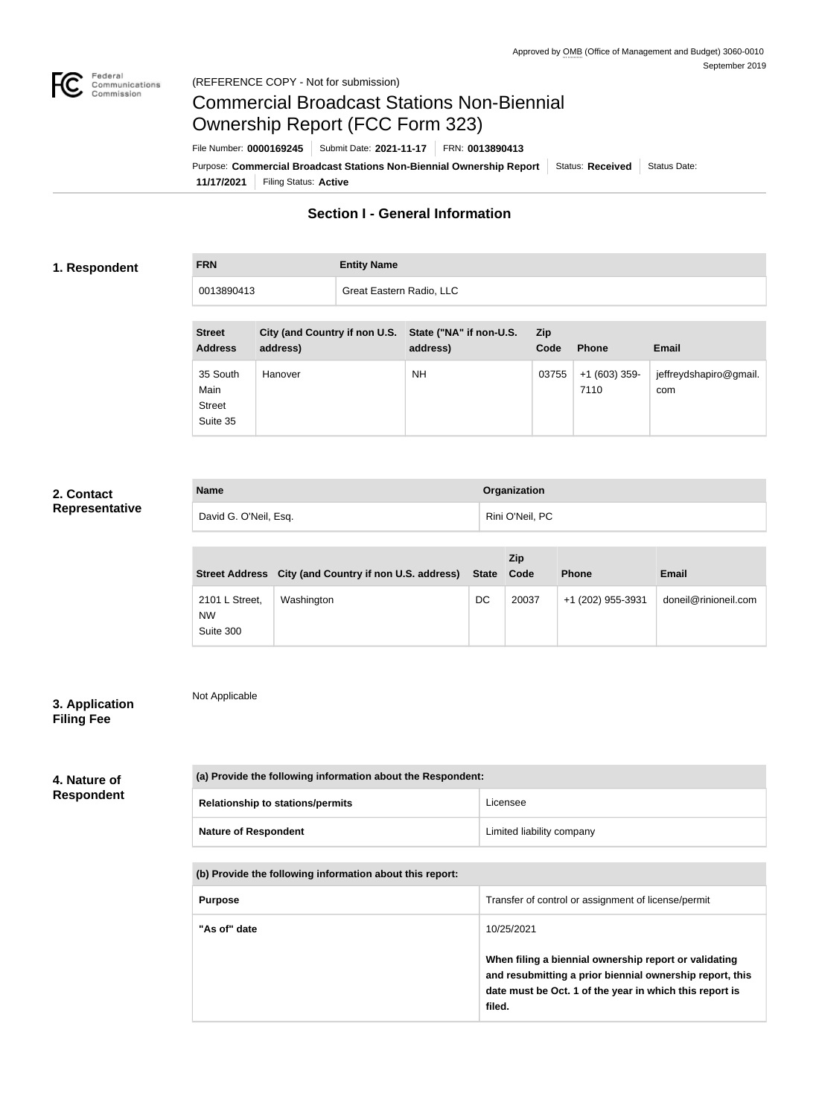

Not Applicable

# Commercial Broadcast Stations Non-Biennial Ownership Report (FCC Form 323)

**11/17/2021** Filing Status: **Active** Purpose: **Commercial Broadcast Stations Non-Biennial Ownership Report** Status: Received Status Date: File Number: **0000169245** Submit Date: **2021-11-17** FRN: **0013890413**

# **Section I - General Information**

### **1. Respondent**

**FRN Entity Name**

| 0013890413 |  |  |                                                                                                                 | Great Eastern Radio, LLC |                                                                                                                 |  |  |  |  |  |  |  |  |  |  |
|------------|--|--|-----------------------------------------------------------------------------------------------------------------|--------------------------|-----------------------------------------------------------------------------------------------------------------|--|--|--|--|--|--|--|--|--|--|
|            |  |  |                                                                                                                 |                          |                                                                                                                 |  |  |  |  |  |  |  |  |  |  |
| ___        |  |  | the contract of the contract of the contract of the contract of the contract of the contract of the contract of |                          | the contract of the contract of the contract of the contract of the contract of the contract of the contract of |  |  |  |  |  |  |  |  |  |  |

| <b>Street</b><br><b>Address</b>               | City (and Country if non U.S. State ("NA" if non-U.S.<br>address) | address)  | <b>Zip</b><br>Code | <b>Phone</b>           | Email                         |
|-----------------------------------------------|-------------------------------------------------------------------|-----------|--------------------|------------------------|-------------------------------|
| 35 South<br>Main<br><b>Street</b><br>Suite 35 | Hanover                                                           | <b>NH</b> | 03755              | $+1(603)$ 359-<br>7110 | jeffreydshapiro@gmail.<br>com |

## **2. Contact Representative**

| <b>Name</b>           | Organization    |
|-----------------------|-----------------|
| David G. O'Neil, Esq. | Rini O'Neil, PC |

|                                          | Street Address City (and Country if non U.S. address) | <b>State</b> | <b>Zip</b><br>Code | <b>Phone</b>      | <b>Email</b>         |
|------------------------------------------|-------------------------------------------------------|--------------|--------------------|-------------------|----------------------|
| 2101 L Street,<br><b>NW</b><br>Suite 300 | Washington                                            | DC           | 20037              | +1 (202) 955-3931 | doneil@rinioneil.com |

## **3. Application Filing Fee**

## **4. Nature of Respondent**

| (a) Provide the following information about the Respondent: |                           |  |  |  |
|-------------------------------------------------------------|---------------------------|--|--|--|
| <b>Relationship to stations/permits</b>                     | Licensee                  |  |  |  |
| <b>Nature of Respondent</b>                                 | Limited liability company |  |  |  |

| (b) Provide the following information about this report: |  |
|----------------------------------------------------------|--|
|----------------------------------------------------------|--|

| <b>Purpose</b> | Transfer of control or assignment of license/permit                                                                                                                                    |
|----------------|----------------------------------------------------------------------------------------------------------------------------------------------------------------------------------------|
| "As of" date   | 10/25/2021                                                                                                                                                                             |
|                | When filing a biennial ownership report or validating<br>and resubmitting a prior biennial ownership report, this<br>date must be Oct. 1 of the year in which this report is<br>filed. |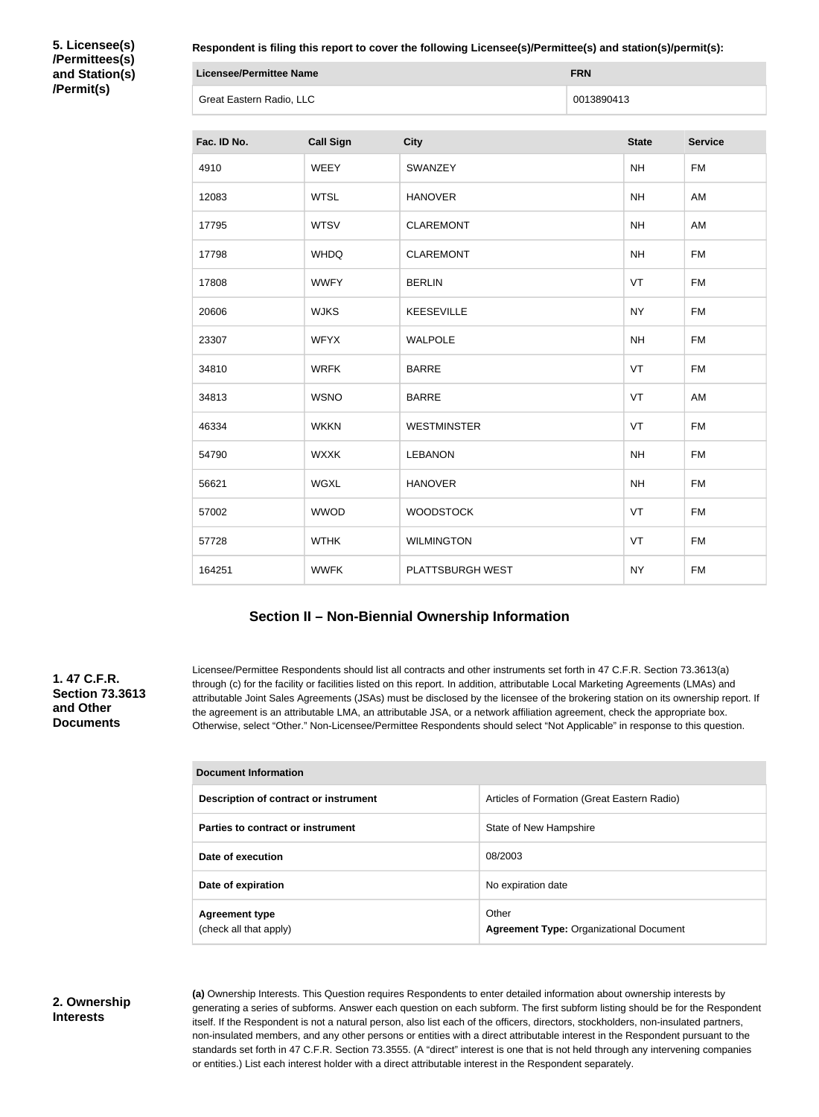**5. Licensee(s) /Permittees(s) and Station(s) /Permit(s)**

**Respondent is filing this report to cover the following Licensee(s)/Permittee(s) and station(s)/permit(s):**

| Licensee/Permittee Name  | <b>FRN</b> |
|--------------------------|------------|
| Great Eastern Radio, LLC | 0013890413 |

| Fac. ID No. | <b>Call Sign</b> | <b>City</b>        | <b>State</b> | <b>Service</b> |
|-------------|------------------|--------------------|--------------|----------------|
| 4910        | <b>WEEY</b>      | SWANZEY            | <b>NH</b>    | <b>FM</b>      |
| 12083       | <b>WTSL</b>      | <b>HANOVER</b>     | <b>NH</b>    | AM             |
| 17795       | <b>WTSV</b>      | <b>CLAREMONT</b>   | <b>NH</b>    | AM             |
| 17798       | <b>WHDQ</b>      | <b>CLAREMONT</b>   | <b>NH</b>    | <b>FM</b>      |
| 17808       | <b>WWFY</b>      | <b>BERLIN</b>      | VT           | <b>FM</b>      |
| 20606       | <b>WJKS</b>      | <b>KEESEVILLE</b>  | <b>NY</b>    | <b>FM</b>      |
| 23307       | <b>WFYX</b>      | <b>WALPOLE</b>     | <b>NH</b>    | <b>FM</b>      |
| 34810       | <b>WRFK</b>      | <b>BARRE</b>       | VT           | <b>FM</b>      |
| 34813       | <b>WSNO</b>      | <b>BARRE</b>       | VT           | AM             |
| 46334       | <b>WKKN</b>      | <b>WESTMINSTER</b> | VT           | <b>FM</b>      |
| 54790       | <b>WXXK</b>      | <b>LEBANON</b>     | <b>NH</b>    | <b>FM</b>      |
| 56621       | <b>WGXL</b>      | <b>HANOVER</b>     | <b>NH</b>    | <b>FM</b>      |
| 57002       | <b>WWOD</b>      | <b>WOODSTOCK</b>   | VT           | <b>FM</b>      |
| 57728       | <b>WTHK</b>      | <b>WILMINGTON</b>  | VT           | <b>FM</b>      |
| 164251      | <b>WWFK</b>      | PLATTSBURGH WEST   | <b>NY</b>    | <b>FM</b>      |

# **Section II – Non-Biennial Ownership Information**

### **1. 47 C.F.R. Section 73.3613 and Other Documents**

Licensee/Permittee Respondents should list all contracts and other instruments set forth in 47 C.F.R. Section 73.3613(a) through (c) for the facility or facilities listed on this report. In addition, attributable Local Marketing Agreements (LMAs) and attributable Joint Sales Agreements (JSAs) must be disclosed by the licensee of the brokering station on its ownership report. If the agreement is an attributable LMA, an attributable JSA, or a network affiliation agreement, check the appropriate box. Otherwise, select "Other." Non-Licensee/Permittee Respondents should select "Not Applicable" in response to this question.

| Document Information                            |                                                         |  |  |  |
|-------------------------------------------------|---------------------------------------------------------|--|--|--|
| Description of contract or instrument           | Articles of Formation (Great Eastern Radio)             |  |  |  |
| Parties to contract or instrument               | State of New Hampshire                                  |  |  |  |
| Date of execution                               | 08/2003                                                 |  |  |  |
| Date of expiration                              | No expiration date                                      |  |  |  |
| <b>Agreement type</b><br>(check all that apply) | Other<br><b>Agreement Type: Organizational Document</b> |  |  |  |

**2. Ownership Interests**

**(a)** Ownership Interests. This Question requires Respondents to enter detailed information about ownership interests by generating a series of subforms. Answer each question on each subform. The first subform listing should be for the Respondent itself. If the Respondent is not a natural person, also list each of the officers, directors, stockholders, non-insulated partners, non-insulated members, and any other persons or entities with a direct attributable interest in the Respondent pursuant to the standards set forth in 47 C.F.R. Section 73.3555. (A "direct" interest is one that is not held through any intervening companies or entities.) List each interest holder with a direct attributable interest in the Respondent separately.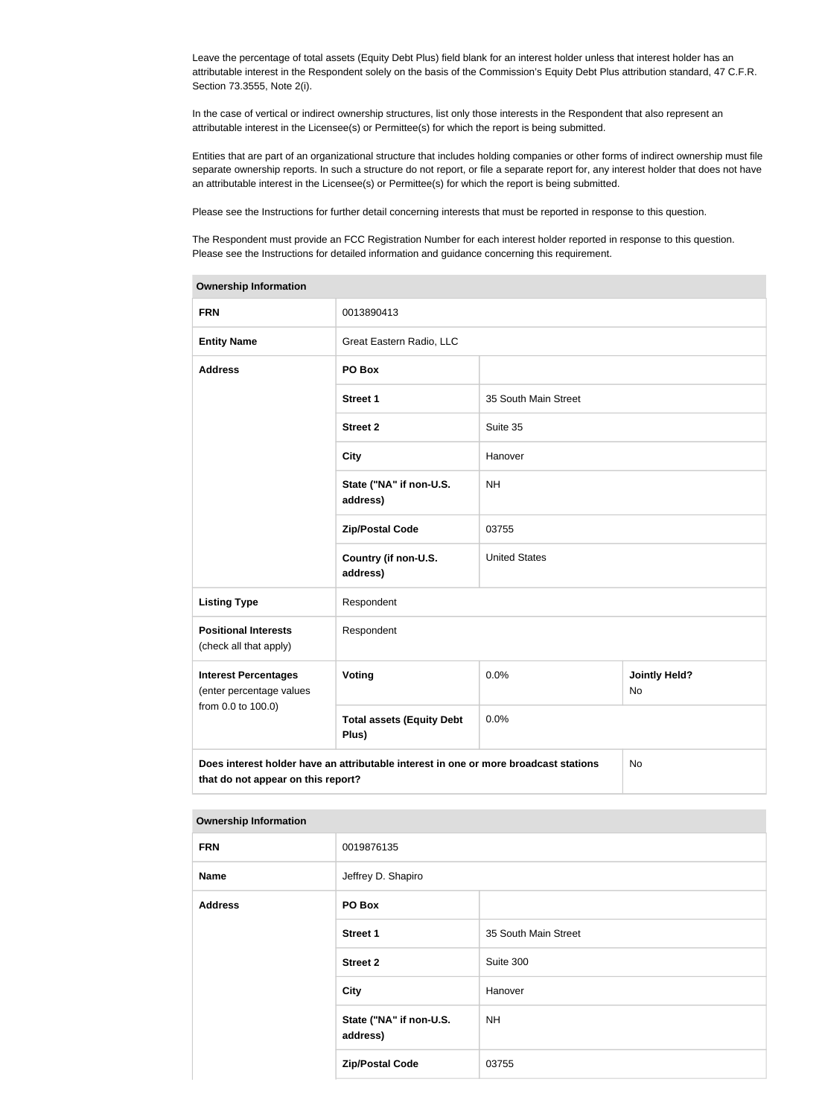Leave the percentage of total assets (Equity Debt Plus) field blank for an interest holder unless that interest holder has an attributable interest in the Respondent solely on the basis of the Commission's Equity Debt Plus attribution standard, 47 C.F.R. Section 73.3555, Note 2(i).

In the case of vertical or indirect ownership structures, list only those interests in the Respondent that also represent an attributable interest in the Licensee(s) or Permittee(s) for which the report is being submitted.

Entities that are part of an organizational structure that includes holding companies or other forms of indirect ownership must file separate ownership reports. In such a structure do not report, or file a separate report for, any interest holder that does not have an attributable interest in the Licensee(s) or Permittee(s) for which the report is being submitted.

Please see the Instructions for further detail concerning interests that must be reported in response to this question.

The Respondent must provide an FCC Registration Number for each interest holder reported in response to this question. Please see the Instructions for detailed information and guidance concerning this requirement.

| <b>Ownership Information</b>                                                                                                            |                                           |                      |                                   |  |  |  |
|-----------------------------------------------------------------------------------------------------------------------------------------|-------------------------------------------|----------------------|-----------------------------------|--|--|--|
| <b>FRN</b>                                                                                                                              | 0013890413                                |                      |                                   |  |  |  |
| <b>Entity Name</b>                                                                                                                      | Great Eastern Radio, LLC                  |                      |                                   |  |  |  |
| <b>Address</b>                                                                                                                          | PO Box                                    |                      |                                   |  |  |  |
|                                                                                                                                         | <b>Street 1</b>                           | 35 South Main Street |                                   |  |  |  |
|                                                                                                                                         | <b>Street 2</b>                           | Suite 35             |                                   |  |  |  |
|                                                                                                                                         | <b>City</b>                               | Hanover              |                                   |  |  |  |
|                                                                                                                                         | State ("NA" if non-U.S.<br>address)       |                      |                                   |  |  |  |
|                                                                                                                                         | <b>Zip/Postal Code</b>                    | 03755                |                                   |  |  |  |
|                                                                                                                                         | Country (if non-U.S.<br>address)          | <b>United States</b> |                                   |  |  |  |
| <b>Listing Type</b>                                                                                                                     | Respondent                                |                      |                                   |  |  |  |
| <b>Positional Interests</b><br>(check all that apply)                                                                                   | Respondent                                |                      |                                   |  |  |  |
| <b>Interest Percentages</b><br>(enter percentage values<br>from 0.0 to 100.0)                                                           | Voting                                    | 0.0%                 | <b>Jointly Held?</b><br><b>No</b> |  |  |  |
|                                                                                                                                         | <b>Total assets (Equity Debt</b><br>Plus) | 0.0%                 |                                   |  |  |  |
| Does interest holder have an attributable interest in one or more broadcast stations<br><b>No</b><br>that do not appear on this report? |                                           |                      |                                   |  |  |  |

| <b>Ownership Information</b> |                                     |                      |  |  |  |  |
|------------------------------|-------------------------------------|----------------------|--|--|--|--|
| <b>FRN</b>                   | 0019876135                          |                      |  |  |  |  |
| <b>Name</b>                  | Jeffrey D. Shapiro                  |                      |  |  |  |  |
| <b>Address</b>               | PO Box                              |                      |  |  |  |  |
|                              | <b>Street 1</b>                     | 35 South Main Street |  |  |  |  |
|                              | <b>Street 2</b>                     | Suite 300            |  |  |  |  |
|                              | <b>City</b>                         | Hanover              |  |  |  |  |
|                              | State ("NA" if non-U.S.<br>address) | <b>NH</b>            |  |  |  |  |
|                              | <b>Zip/Postal Code</b>              | 03755                |  |  |  |  |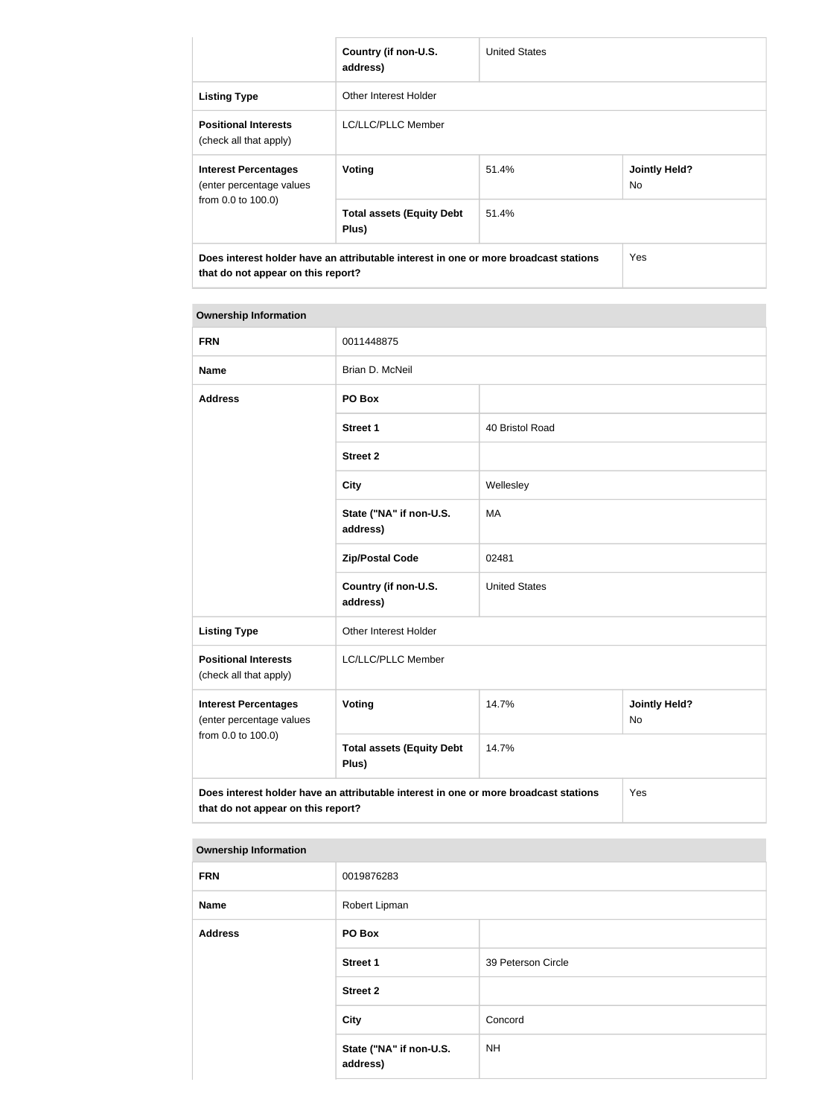|                                                                               | Country (if non-U.S.<br>address)                                                     | <b>United States</b> |                             |
|-------------------------------------------------------------------------------|--------------------------------------------------------------------------------------|----------------------|-----------------------------|
| <b>Listing Type</b>                                                           | Other Interest Holder                                                                |                      |                             |
| <b>Positional Interests</b><br>(check all that apply)                         | LC/LLC/PLLC Member                                                                   |                      |                             |
| <b>Interest Percentages</b><br>(enter percentage values<br>from 0.0 to 100.0) | Voting                                                                               | 51.4%                | <b>Jointly Held?</b><br>No. |
|                                                                               | <b>Total assets (Equity Debt</b><br>Plus)                                            | 51.4%                |                             |
| that do not appear on this report?                                            | Does interest holder have an attributable interest in one or more broadcast stations |                      | Yes                         |

#### **Ownership Information**

| <b>FRN</b>                                              | 0011448875                                                                           |                      |                            |
|---------------------------------------------------------|--------------------------------------------------------------------------------------|----------------------|----------------------------|
| <b>Name</b>                                             | Brian D. McNeil                                                                      |                      |                            |
| <b>Address</b>                                          | PO Box                                                                               |                      |                            |
|                                                         | <b>Street 1</b>                                                                      | 40 Bristol Road      |                            |
|                                                         | <b>Street 2</b>                                                                      |                      |                            |
|                                                         | <b>City</b>                                                                          | Wellesley            |                            |
|                                                         | State ("NA" if non-U.S.<br>address)                                                  | <b>MA</b>            |                            |
|                                                         | <b>Zip/Postal Code</b>                                                               | 02481                |                            |
|                                                         | Country (if non-U.S.<br>address)                                                     | <b>United States</b> |                            |
| <b>Listing Type</b>                                     | Other Interest Holder                                                                |                      |                            |
| <b>Positional Interests</b><br>(check all that apply)   | LC/LLC/PLLC Member                                                                   |                      |                            |
| <b>Interest Percentages</b><br>(enter percentage values | Voting                                                                               | 14.7%                | <b>Jointly Held?</b><br>No |
| from 0.0 to 100.0)                                      | <b>Total assets (Equity Debt</b><br>Plus)                                            | 14.7%                |                            |
| that do not appear on this report?                      | Does interest holder have an attributable interest in one or more broadcast stations |                      | Yes                        |

#### **Ownership Information**

| <b>FRN</b>     | 0019876283                          |                    |
|----------------|-------------------------------------|--------------------|
| <b>Name</b>    | Robert Lipman                       |                    |
| <b>Address</b> | PO Box                              |                    |
|                | <b>Street 1</b>                     | 39 Peterson Circle |
|                | <b>Street 2</b>                     |                    |
|                | City                                | Concord            |
|                | State ("NA" if non-U.S.<br>address) | <b>NH</b>          |
|                |                                     |                    |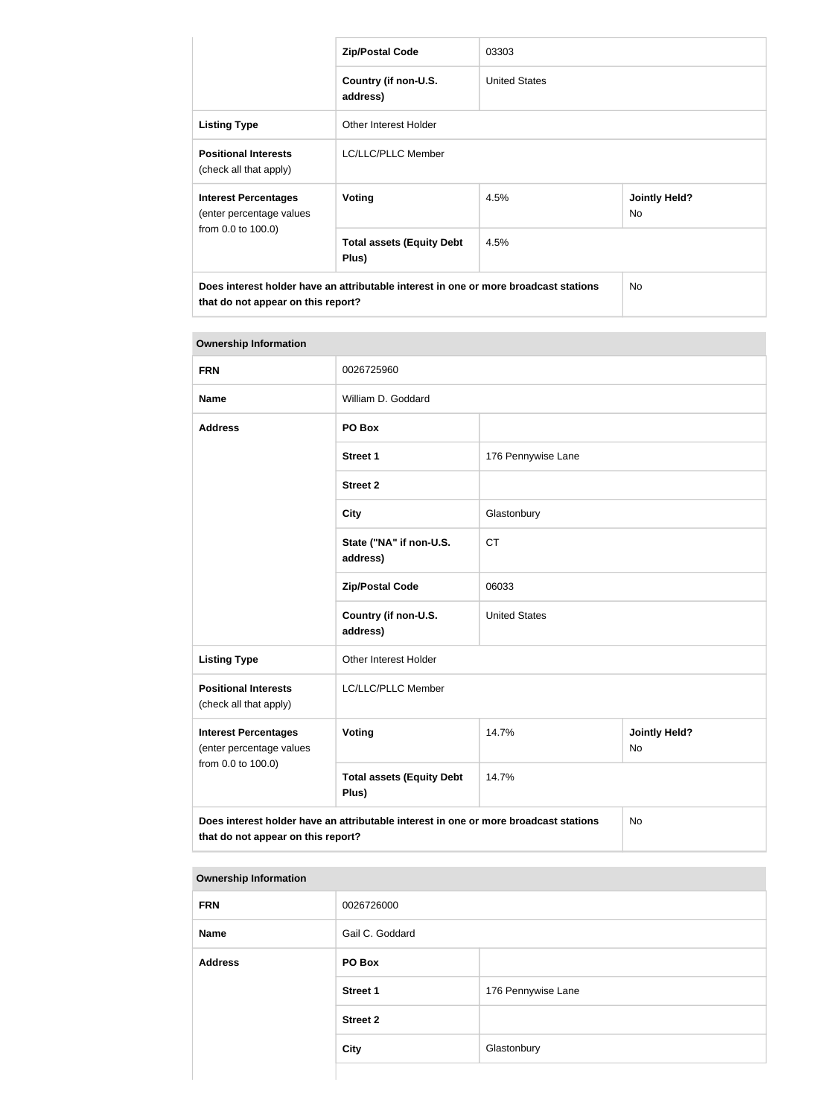|                                                                               | <b>Zip/Postal Code</b>                                                               | 03303                |                             |
|-------------------------------------------------------------------------------|--------------------------------------------------------------------------------------|----------------------|-----------------------------|
|                                                                               | Country (if non-U.S.<br>address)                                                     | <b>United States</b> |                             |
| <b>Listing Type</b>                                                           | Other Interest Holder                                                                |                      |                             |
| <b>Positional Interests</b><br>(check all that apply)                         | LC/LLC/PLLC Member                                                                   |                      |                             |
| <b>Interest Percentages</b><br>(enter percentage values<br>from 0.0 to 100.0) | Voting                                                                               | 4.5%                 | <b>Jointly Held?</b><br>No. |
|                                                                               | <b>Total assets (Equity Debt</b><br>Plus)                                            | 4.5%                 |                             |
| that do not appear on this report?                                            | Does interest holder have an attributable interest in one or more broadcast stations |                      | No.                         |

| <b>Ownership Information</b>                            |                                                                                      |                      |                                   |
|---------------------------------------------------------|--------------------------------------------------------------------------------------|----------------------|-----------------------------------|
| <b>FRN</b>                                              | 0026725960                                                                           |                      |                                   |
| <b>Name</b>                                             | William D. Goddard                                                                   |                      |                                   |
| <b>Address</b>                                          | PO Box                                                                               |                      |                                   |
|                                                         | <b>Street 1</b>                                                                      | 176 Pennywise Lane   |                                   |
|                                                         | <b>Street 2</b>                                                                      |                      |                                   |
|                                                         | <b>City</b>                                                                          | Glastonbury          |                                   |
|                                                         | State ("NA" if non-U.S.<br>address)                                                  | <b>CT</b>            |                                   |
|                                                         | <b>Zip/Postal Code</b>                                                               | 06033                |                                   |
|                                                         | Country (if non-U.S.<br>address)                                                     | <b>United States</b> |                                   |
| <b>Listing Type</b>                                     | Other Interest Holder                                                                |                      |                                   |
| <b>Positional Interests</b><br>(check all that apply)   | LC/LLC/PLLC Member                                                                   |                      |                                   |
| <b>Interest Percentages</b><br>(enter percentage values | Voting                                                                               | 14.7%                | <b>Jointly Held?</b><br><b>No</b> |
| from 0.0 to 100.0)                                      | <b>Total assets (Equity Debt</b><br>Plus)                                            | 14.7%                |                                   |
| that do not appear on this report?                      | Does interest holder have an attributable interest in one or more broadcast stations |                      | No                                |

#### **Ownership Information**

| <b>FRN</b>     | 0026726000      |                    |
|----------------|-----------------|--------------------|
| <b>Name</b>    | Gail C. Goddard |                    |
| <b>Address</b> | PO Box          |                    |
|                | <b>Street 1</b> | 176 Pennywise Lane |
|                | <b>Street 2</b> |                    |
|                | <b>City</b>     | Glastonbury        |
|                |                 |                    |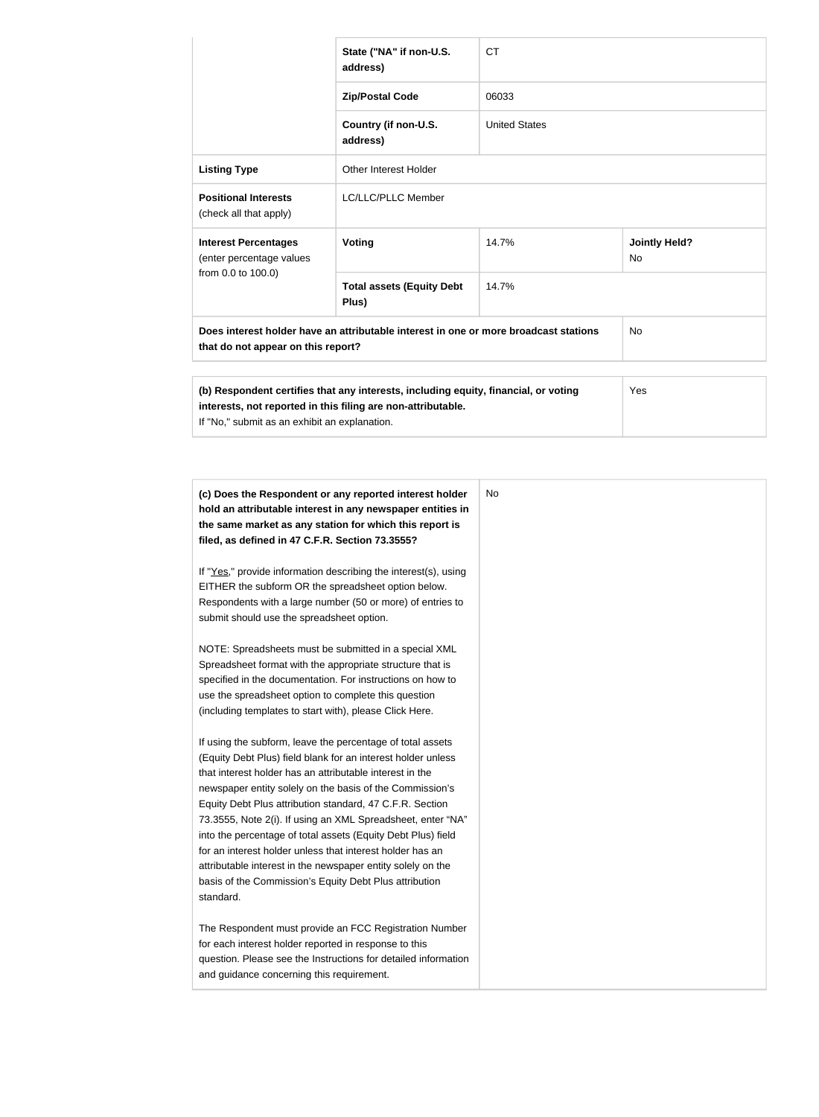|                                                         | State ("NA" if non-U.S.<br>address)                                                                                                                 | <b>CT</b>            |                            |  |
|---------------------------------------------------------|-----------------------------------------------------------------------------------------------------------------------------------------------------|----------------------|----------------------------|--|
|                                                         | <b>Zip/Postal Code</b>                                                                                                                              | 06033                |                            |  |
|                                                         | Country (if non-U.S.<br>address)                                                                                                                    | <b>United States</b> |                            |  |
| <b>Listing Type</b>                                     | Other Interest Holder                                                                                                                               |                      |                            |  |
| <b>Positional Interests</b><br>(check all that apply)   | LC/LLC/PLLC Member                                                                                                                                  |                      |                            |  |
| <b>Interest Percentages</b><br>(enter percentage values | <b>Voting</b>                                                                                                                                       | 14.7%                | <b>Jointly Held?</b><br>No |  |
| from 0.0 to 100.0)                                      | <b>Total assets (Equity Debt</b><br>Plus)                                                                                                           | 14.7%                |                            |  |
| that do not appear on this report?                      | Does interest holder have an attributable interest in one or more broadcast stations                                                                |                      | No                         |  |
| If "No," submit as an exhibit an explanation.           | (b) Respondent certifies that any interests, including equity, financial, or voting<br>interests, not reported in this filing are non-attributable. |                      | Yes                        |  |
|                                                         | (c) Does the Respondent or any reported interest holder                                                                                             | No                   |                            |  |
| filed, as defined in 47 C.F.R. Section 73.3555?         | hold an attributable interest in any newspaper entities in<br>the same market as any station for which this report is                               |                      |                            |  |
| FITHER the subform OR the spreadsheet option below      | If "Yes," provide information describing the interest(s), using                                                                                     |                      |                            |  |

EITHER the subform OR the spreadsheet option below. Respondents with a large number (50 or more) of entries to submit should use the spreadsheet option.

NOTE: Spreadsheets must be submitted in a special XML Spreadsheet format with the appropriate structure that is specified in the documentation. For instructions on how to use the spreadsheet option to complete this question (including templates to start with), please Click Here.

into the percentage of total assets (Equity Debt Plus) field for an interest holder unless that interest holder has an attributable interest in the newspaper entity solely on the basis of the Commission's Equity Debt Plus attribution standard.

The Respondent must provide an FCC Registration Number for each interest holder reported in response to this question. Please see the Instructions for detailed information and guidance concerning this requirement.

If using the subform, leave the percentage of total assets (Equity Debt Plus) field blank for an interest holder unless that interest holder has an attributable interest in the newspaper entity solely on the basis of the Commission's Equity Debt Plus attribution standard, 47 C.F.R. Section 73.3555, Note 2(i). If using an XML Spreadsheet, enter "NA"